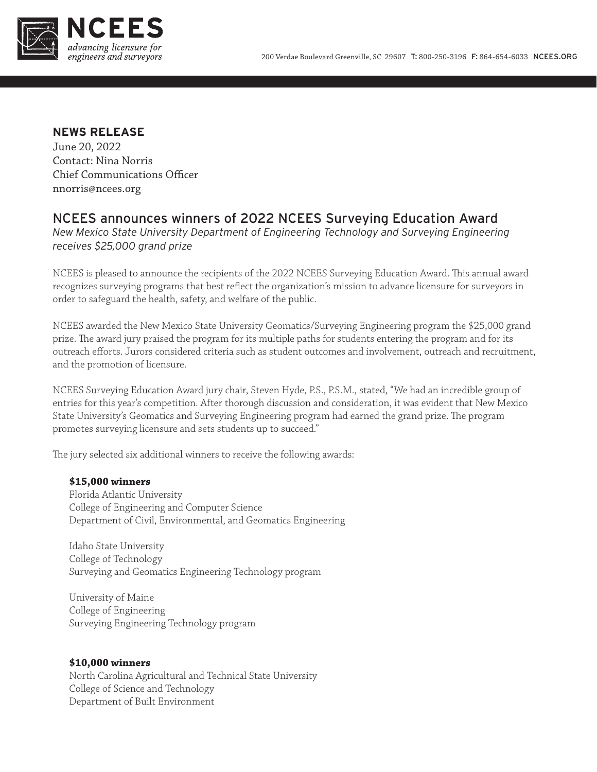

## **NEWS RELEASE**

June 20, 2022 Contact: Nina Norris Chief Communications Officer nnorris@ncees.org

# NCEES announces winners of 2022 NCEES Surveying Education Award

*New Mexico State University Department of Engineering Technology and Surveying Engineering receives \$25,000 grand prize*

NCEES is pleased to announce the recipients of the 2022 NCEES Surveying Education Award. This annual award recognizes surveying programs that best reflect the organization's mission to advance licensure for surveyors in order to safeguard the health, safety, and welfare of the public.

NCEES awarded the New Mexico State University Geomatics/Surveying Engineering program the \$25,000 grand prize. The award jury praised the program for its multiple paths for students entering the program and for its outreach efforts. Jurors considered criteria such as student outcomes and involvement, outreach and recruitment, and the promotion of licensure.

NCEES Surveying Education Award jury chair, Steven Hyde, P.S., P.S.M., stated, "We had an incredible group of entries for this year's competition. After thorough discussion and consideration, it was evident that New Mexico State University's Geomatics and Surveying Engineering program had earned the grand prize. The program promotes surveying licensure and sets students up to succeed."

The jury selected six additional winners to receive the following awards:

#### **\$15,000 winners**

Florida Atlantic University College of Engineering and Computer Science Department of Civil, Environmental, and Geomatics Engineering

Idaho State University College of Technology Surveying and Geomatics Engineering Technology program

University of Maine College of Engineering Surveying Engineering Technology program

### **\$10,000 winners**

North Carolina Agricultural and Technical State University College of Science and Technology Department of Built Environment